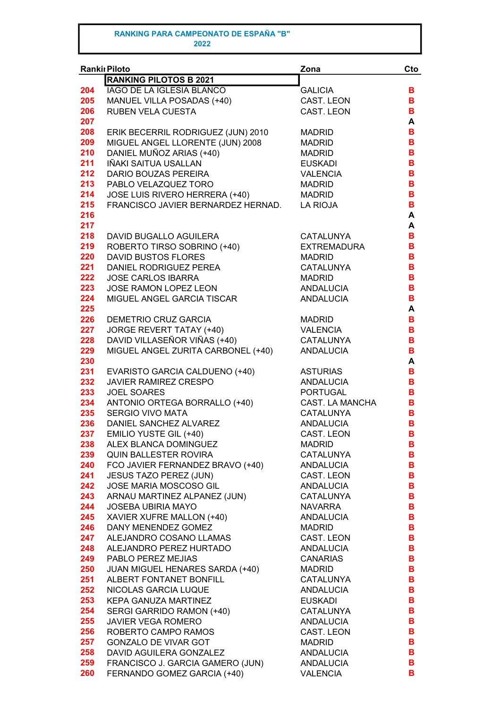|     | <b>Rankil Piloto</b>               | Zona               | Cto |
|-----|------------------------------------|--------------------|-----|
|     | <b>RANKING PILOTOS B 2021</b>      |                    |     |
| 204 | <b>IAGO DE LA IGLESIA BLANCO</b>   | <b>GALICIA</b>     | В   |
| 205 | MANUEL VILLA POSADAS (+40)         | CAST. LEON         | В   |
| 206 | RUBEN VELA CUESTA                  | CAST. LEON         | В   |
| 207 |                                    |                    | A   |
| 208 | ERIK BECERRIL RODRIGUEZ (JUN) 2010 | <b>MADRID</b>      | В   |
| 209 | MIGUEL ANGEL LLORENTE (JUN) 2008   | <b>MADRID</b>      | В   |
| 210 | DANIEL MUÑOZ ARIAS (+40)           | <b>MADRID</b>      | В   |
|     | IÑAKI SAITUA USALLAN               |                    |     |
| 211 |                                    | <b>EUSKADI</b>     | B   |
| 212 | DARIO BOUZAS PEREIRA               | <b>VALENCIA</b>    | В   |
| 213 | PABLO VELAZQUEZ TORO               | <b>MADRID</b>      | В   |
| 214 | JOSE LUIS RIVERO HERRERA (+40)     | <b>MADRID</b>      | B   |
| 215 | FRANCISCO JAVIER BERNARDEZ HERNAD. | <b>LA RIOJA</b>    | B   |
| 216 |                                    |                    | A   |
| 217 |                                    |                    | A   |
| 218 | <b>DAVID BUGALLO AGUILERA</b>      | <b>CATALUNYA</b>   | в   |
| 219 | ROBERTO TIRSO SOBRINO (+40)        | <b>EXTREMADURA</b> | в   |
| 220 | <b>DAVID BUSTOS FLORES</b>         | <b>MADRID</b>      | B   |
| 221 | DANIEL RODRIGUEZ PEREA             | <b>CATALUNYA</b>   | B   |
| 222 | <b>JOSE CARLOS IBARRA</b>          | <b>MADRID</b>      | B   |
| 223 | JOSE RAMON LOPEZ LEON              | <b>ANDALUCIA</b>   | B   |
| 224 | MIGUEL ANGEL GARCIA TISCAR         | <b>ANDALUCIA</b>   | B   |
| 225 |                                    |                    | A   |
| 226 | DEMETRIO CRUZ GARCIA               | <b>MADRID</b>      | в   |
| 227 | JORGE REVERT TATAY (+40)           | <b>VALENCIA</b>    | В   |
| 228 | DAVID VILLASEÑOR VIÑAS (+40)       | <b>CATALUNYA</b>   | B   |
| 229 | MIGUEL ANGEL ZURITA CARBONEL (+40) | <b>ANDALUCIA</b>   | В   |
| 230 |                                    |                    | A   |
| 231 | EVARISTO GARCIA CALDUENO (+40)     | <b>ASTURIAS</b>    | В   |
| 232 | <b>JAVIER RAMIREZ CRESPO</b>       | <b>ANDALUCIA</b>   | В   |
| 233 | <b>JOEL SOARES</b>                 | <b>PORTUGAL</b>    | В   |
| 234 |                                    |                    | В   |
|     | ANTONIO ORTEGA BORRALLO (+40)      | CAST. LA MANCHA    |     |
| 235 | <b>SERGIO VIVO MATA</b>            | <b>CATALUNYA</b>   | в   |
| 236 | DANIEL SANCHEZ ALVAREZ             | <b>ANDALUCIA</b>   | в   |
| 237 | EMILIO YUSTE GIL (+40)             | <b>CAST. LEON</b>  | B   |
| 238 | ALEX BLANCA DOMINGUEZ              | <b>MADRID</b>      | в   |
| 239 | QUIN BALLESTER ROVIRA              | <b>CATALUNYA</b>   | В   |
| 240 | FCO JAVIER FERNANDEZ BRAVO (+40)   | <b>ANDALUCIA</b>   | В   |
| 241 | <b>JESUS TAZO PEREZ (JUN)</b>      | CAST. LEON         | В   |
| 242 | JOSE MARIA MOSCOSO GIL             | <b>ANDALUCIA</b>   | В   |
| 243 | ARNAU MARTINEZ ALPANEZ (JUN)       | <b>CATALUNYA</b>   | В   |
| 244 | <b>JOSEBA UBIRIA MAYO</b>          | <b>NAVARRA</b>     | В   |
| 245 | XAVIER XUFRE MALLON (+40)          | ANDALUCIA          | В   |
| 246 | DANY MENENDEZ GOMEZ                | <b>MADRID</b>      | В   |
| 247 | ALEJANDRO COSANO LLAMAS            | CAST. LEON         | В   |
| 248 | ALEJANDRO PEREZ HURTADO            | <b>ANDALUCIA</b>   | В   |
| 249 | PABLO PEREZ MEJIAS                 | <b>CANARIAS</b>    | В   |
| 250 | JUAN MIGUEL HENARES SARDA (+40)    | <b>MADRID</b>      | В   |
| 251 | ALBERT FONTANET BONFILL            | CATALUNYA          | В   |
| 252 | NICOLAS GARCIA LUQUE               | ANDALUCIA          | В   |
| 253 | KEPA GANUZA MARTINEZ               | <b>EUSKADI</b>     | в   |
| 254 | SERGI GARRIDO RAMON (+40)          | <b>CATALUNYA</b>   | В   |
| 255 | <b>JAVIER VEGA ROMERO</b>          | ANDALUCIA          | в   |
| 256 | ROBERTO CAMPO RAMOS                | CAST. LEON         | В   |
| 257 | <b>GONZALO DE VIVAR GOT</b>        | <b>MADRID</b>      | В   |
| 258 | DAVID AGUILERA GONZALEZ            | <b>ANDALUCIA</b>   | В   |
| 259 | FRANCISCO J. GARCIA GAMERO (JUN)   | <b>ANDALUCIA</b>   | В   |
| 260 | FERNANDO GOMEZ GARCIA (+40)        | <b>VALENCIA</b>    | в   |
|     |                                    |                    |     |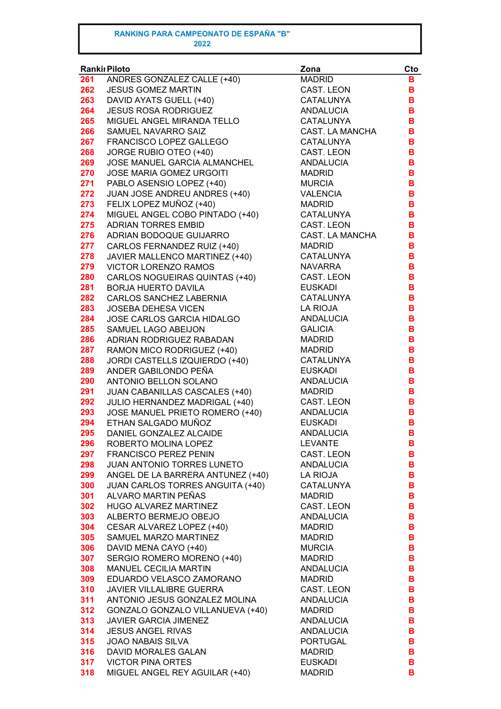| Ranki Piloto |                                       | Zona             | Cto |
|--------------|---------------------------------------|------------------|-----|
| 261          | ANDRES GONZALEZ CALLE (+40)           | <b>MADRID</b>    | в   |
| 262          | <b>JESUS GOMEZ MARTIN</b>             | CAST. LEON       | B   |
| 263          | DAVID AYATS GUELL (+40)               | <b>CATALUNYA</b> | B   |
| 264          | <b>JESUS ROSA RODRIGUEZ</b>           | <b>ANDALUCIA</b> | B   |
| 265          | MIGUEL ANGEL MIRANDA TELLO            | CATALUNYA        | B   |
| 266          | SAMUEL NAVARRO SAIZ                   | CAST. LA MANCHA  | B   |
| 267          | FRANCISCO LOPEZ GALLEGO               | <b>CATALUNYA</b> | B   |
| 268          | JORGE RUBIO OTEO (+40)                | CAST. LEON       | B   |
| 269          | JOSE MANUEL GARCIA ALMANCHEL          | <b>ANDALUCIA</b> | B   |
| 270          | <b>JOSE MARIA GOMEZ URGOITI</b>       | <b>MADRID</b>    | B   |
| 271          | PABLO ASENSIO LOPEZ (+40)             | <b>MURCIA</b>    | B   |
| 272          | JUAN JOSE ANDREU ANDRES (+40)         | <b>VALENCIA</b>  | B   |
| 273          | FELIX LOPEZ MUÑOZ (+40)               | <b>MADRID</b>    | B   |
| 274          | MIGUEL ANGEL COBO PINTADO (+40)       | CATALUNYA        | B   |
| 275          | <b>ADRIAN TORRES EMBID</b>            | CAST. LEON       | B   |
| 276          | ADRIAN BODOQUE GUIJARRO               | CAST. LA MANCHA  | B   |
| 277          | CARLOS FERNANDEZ RUIZ (+40)           | <b>MADRID</b>    | B   |
| 278          | JAVIER MALLENCO MARTINEZ (+40)        | <b>CATALUNYA</b> | в   |
| 279          | VICTOR LORENZO RAMOS                  | <b>NAVARRA</b>   | B   |
| 280          |                                       | CAST. LEON       | B   |
|              | CARLOS NOGUEIRAS QUINTAS (+40)        |                  |     |
| 281          | <b>BORJA HUERTO DAVILA</b>            | <b>EUSKADI</b>   | B   |
| 282          | CARLOS SANCHEZ LABERNIA               | <b>CATALUNYA</b> | B   |
| 283          | <b>JOSEBA DEHESA VICEN</b>            | <b>LA RIOJA</b>  | B   |
| 284          | <b>JOSE CARLOS GARCIA HIDALGO</b>     | <b>ANDALUCIA</b> | B   |
| 285          | SAMUEL LAGO ABEIJON                   | <b>GALICIA</b>   | B   |
| 286          | ADRIAN RODRIGUEZ RABADAN              | <b>MADRID</b>    | B   |
| 287          | RAMON MICO RODRIGUEZ (+40)            | <b>MADRID</b>    | B   |
| 288          | JORDI CASTELLS IZQUIERDO (+40)        | <b>CATALUNYA</b> | B   |
| 289          | ANDER GABILONDO PEÑA                  | <b>EUSKADI</b>   | B   |
| 290          | ANTONIO BELLON SOLANO                 | ANDALUCIA        | B   |
| 291          | <b>JUAN CABANILLAS CASCALES (+40)</b> | <b>MADRID</b>    | в   |
| 292          | JULIO HERNANDEZ MADRIGAL (+40)        | CAST. LEON       | B   |
| 293          | JOSE MANUEL PRIETO ROMERO (+40)       | ANDALUCIA        | в   |
| 294          | ETHAN SALGADO MUÑOZ                   | <b>EUSKADI</b>   | в   |
| 295          | DANIEL GONZALEZ ALCAIDE               | <b>ANDALUCIA</b> | в   |
| 296          | ROBERTO MOLINA LOPEZ                  | <b>LEVANTE</b>   | в   |
| 297          | <b>FRANCISCO PEREZ PENIN</b>          | CAST. LEON       | в   |
| 298          | JUAN ANTONIO TORRES LUNETO            | <b>ANDALUCIA</b> | в   |
| 299          | ANGEL DE LA BARRERA ANTUNEZ (+40)     | <b>LA RIOJA</b>  | в   |
| 300          | JUAN CARLOS TORRES ANGUITA (+40)      | <b>CATALUNYA</b> | в   |
| 301          | ALVARO MARTIN PEÑAS                   | <b>MADRID</b>    | В   |
| 302          | HUGO ALVAREZ MARTINEZ                 | CAST. LEON       | В   |
| 303          | ALBERTO BERMEJO OBEJO                 | <b>ANDALUCIA</b> | В   |
| 304          | CESAR ALVAREZ LOPEZ (+40)             | <b>MADRID</b>    | В   |
| 305          | SAMUEL MARZO MARTINEZ                 | <b>MADRID</b>    | В   |
| 306          | DAVID MENA CAYO (+40)                 | <b>MURCIA</b>    | В   |
| 307          | SERGIO ROMERO MORENO (+40)            | <b>MADRID</b>    | в   |
| 308          | MANUEL CECILIA MARTIN                 | ANDALUCIA        | в   |
| 309          | EDUARDO VELASCO ZAMORANO              | <b>MADRID</b>    | в   |
| 310          | <b>JAVIER VILLALIBRE GUERRA</b>       | CAST. LEON       | В   |
| 311          | ANTONIO JESUS GONZALEZ MOLINA         | <b>ANDALUCIA</b> | В   |
| 312          | GONZALO GONZALO VILLANUEVA (+40)      | <b>MADRID</b>    | в   |
| 313          | JAVIER GARCIA JIMENEZ                 | ANDALUCIA        | B   |
| 314          | <b>JESUS ANGEL RIVAS</b>              | <b>ANDALUCIA</b> | в   |
| 315          | <b>JOAO NABAIS SILVA</b>              | <b>PORTUGAL</b>  | в   |
| 316          | DAVID MORALES GALAN                   | <b>MADRID</b>    | в   |
| 317          | <b>VICTOR PINA ORTES</b>              | <b>EUSKADI</b>   | B   |
| 318          | MIGUEL ANGEL REY AGUILAR (+40)        | <b>MADRID</b>    | в   |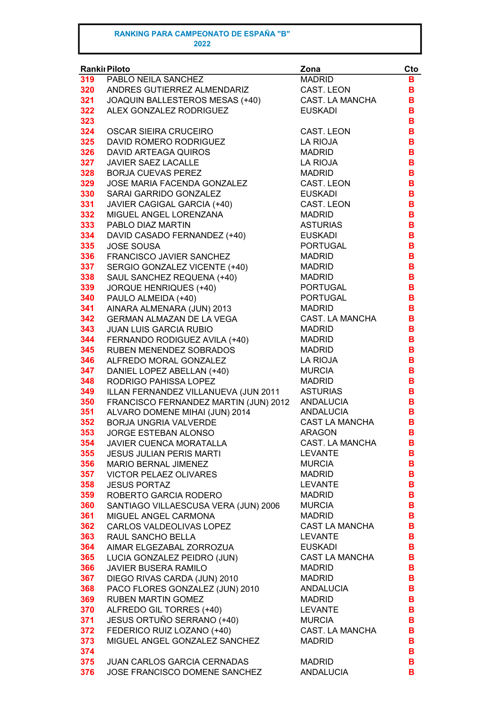| Rankiı Piloto |                                       | Zona                   | Cto |
|---------------|---------------------------------------|------------------------|-----|
| 319           | PABLO NEILA SANCHEZ                   | <b>MADRID</b>          | в   |
| 320           | ANDRES GUTIERREZ ALMENDARIZ           | <b>CAST. LEON</b>      | в   |
| 321           | JOAQUIN BALLESTEROS MESAS (+40)       | CAST. LA MANCHA        | в   |
| 322           | ALEX GONZALEZ RODRIGUEZ               | <b>EUSKADI</b>         | в   |
| 323           |                                       |                        | в   |
| 324           | <b>OSCAR SIEIRA CRUCEIRO</b>          | <b>CAST. LEON</b>      | в   |
| 325           | DAVID ROMERO RODRIGUEZ                | <b>LA RIOJA</b>        | В   |
| 326           | <b>DAVID ARTEAGA QUIROS</b>           | <b>MADRID</b>          | В   |
| 327           | JAVIER SAEZ LACALLE                   | <b>LA RIOJA</b>        | В   |
| 328           | <b>BORJA CUEVAS PEREZ</b>             | <b>MADRID</b>          | В   |
| 329           | <b>JOSE MARIA FACENDA GONZALEZ</b>    | <b>CAST. LEON</b>      | В   |
| 330           | SARAI GARRIDO GONZALEZ                | <b>EUSKADI</b>         | B   |
| 331           | JAVIER CAGIGAL GARCIA (+40)           | <b>CAST. LEON</b>      | B   |
| 332           | MIGUEL ANGEL LORENZANA                | <b>MADRID</b>          | B   |
| 333           | PABLO DIAZ MARTIN                     | <b>ASTURIAS</b>        | В   |
| 334           | DAVID CASADO FERNANDEZ (+40)          | <b>EUSKADI</b>         | В   |
| 335           | <b>JOSE SOUSA</b>                     | <b>PORTUGAL</b>        | В   |
| 336           | FRANCISCO JAVIER SANCHEZ              | <b>MADRID</b>          | В   |
| 337           | SERGIO GONZALEZ VICENTE (+40)         | <b>MADRID</b>          | в   |
| 338           | SAUL SANCHEZ REQUENA (+40)            | <b>MADRID</b>          | В   |
| 339           | <b>JORQUE HENRIQUES (+40)</b>         | <b>PORTUGAL</b>        | в   |
| 340           | PAULO ALMEIDA (+40)                   | <b>PORTUGAL</b>        | в   |
| 341           | AINARA ALMENARA (JUN) 2013            | <b>MADRID</b>          | в   |
| 342           | GERMAN ALMAZAN DE LA VEGA             | <b>CAST. LA MANCHA</b> | в   |
| 343           | <b>JUAN LUIS GARCIA RUBIO</b>         | <b>MADRID</b>          | B   |
| 344           | FERNANDO RODIGUEZ AVILA (+40)         | <b>MADRID</b>          | В   |
| 345           | RUBEN MENENDEZ SOBRADOS               | <b>MADRID</b>          | B   |
| 346           | ALFREDO MORAL GONZALEZ                | LA RIOJA               | В   |
| 347           | DANIEL LOPEZ ABELLAN (+40)            | <b>MURCIA</b>          | B   |
| 348           | RODRIGO PAHISSA LOPEZ                 | <b>MADRID</b>          | B   |
| 349           | ILLAN FERNANDEZ VILLANUEVA (JUN 2011  | <b>ASTURIAS</b>        | B   |
| 350           | FRANCISCO FERNANDEZ MARTIN (JUN) 2012 | <b>ANDALUCIA</b>       | В   |
| 351           | ALVARO DOMENE MIHAI (JUN) 2014        | <b>ANDALUCIA</b>       | B   |
| 352           | BORJA UNGRIA VALVERDE                 | <b>CAST LA MANCHA</b>  | в   |
| 353           | <b>JORGE ESTEBAN ALONSO</b>           | <b>ARAGON</b>          | в   |
| 354           | JAVIER CUENCA MORATALLA               | CAST. LA MANCHA        | в   |
| 355           | <b>JESUS JULIAN PERIS MARTI</b>       | <b>LEVANTE</b>         | в   |
| 356           | MARIO BERNAL JIMENEZ                  | <b>MURCIA</b>          | В   |
| 357           | VICTOR PELAEZ OLIVARES                | <b>MADRID</b>          | В   |
| 358           | <b>JESUS PORTAZ</b>                   | <b>LEVANTE</b>         | В   |
| 359           | ROBERTO GARCIA RODERO                 | <b>MADRID</b>          | В   |
| 360           | SANTIAGO VILLAESCUSA VERA (JUN) 2006  | <b>MURCIA</b>          | в   |
| 361           | MIGUEL ANGEL CARMONA                  | <b>MADRID</b>          | В   |
| 362           | CARLOS VALDEOLIVAS LOPEZ              | <b>CAST LA MANCHA</b>  | В   |
| 363           | RAUL SANCHO BELLA                     | <b>LEVANTE</b>         | B   |
| 364           | AIMAR ELGEZABAL ZORROZUA              | <b>EUSKADI</b>         | В   |
| 365           | LUCIA GONZALEZ PEIDRO (JUN)           | <b>CAST LA MANCHA</b>  | B   |
| 366           | <b>JAVIER BUSERA RAMILO</b>           | <b>MADRID</b>          | в   |
| 367           | DIEGO RIVAS CARDA (JUN) 2010          | <b>MADRID</b>          | B   |
| 368           | PACO FLORES GONZALEZ (JUN) 2010       | ANDALUCIA              | В   |
| 369           | <b>RUBEN MARTIN GOMEZ</b>             | <b>MADRID</b>          | В   |
| 370           | ALFREDO GIL TORRES (+40)              | <b>LEVANTE</b>         | В   |
| 371           | JESUS ORTUÑO SERRANO (+40)            | <b>MURCIA</b>          | В   |
| 372           | FEDERICO RUIZ LOZANO (+40)            | CAST. LA MANCHA        | В   |
| 373           | MIGUEL ANGEL GONZALEZ SANCHEZ         | <b>MADRID</b>          | в   |
| 374           |                                       |                        | в   |
| 375           | JUAN CARLOS GARCIA CERNADAS           | <b>MADRID</b>          | В   |
| 376           | JOSE FRANCISCO DOMENE SANCHEZ         | ANDALUCIA              | в   |